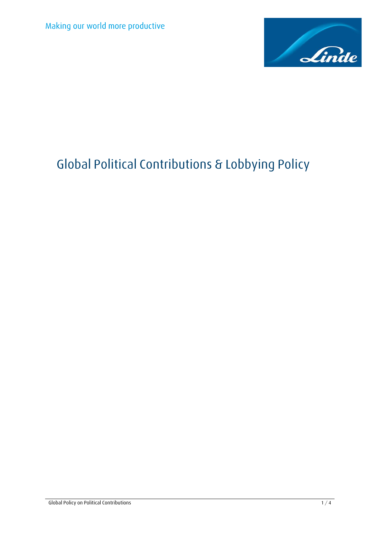

# **Global Political Contributions & Lobbying Policy**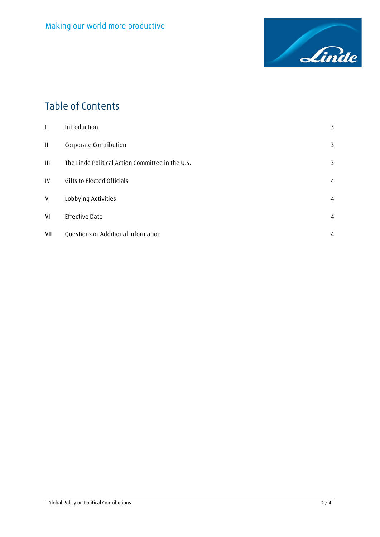

## **Table of Contents**

| L            | Introduction                                     | 3 |
|--------------|--------------------------------------------------|---|
| $\mathbf{H}$ | Corporate Contribution                           | 3 |
| Ш            | The Linde Political Action Committee in the U.S. | 3 |
| IV           | Gifts to Elected Officials                       | 4 |
| V            | Lobbying Activities                              | 4 |
| VI           | <b>Effective Date</b>                            | 4 |
| VII          | Questions or Additional Information              | 4 |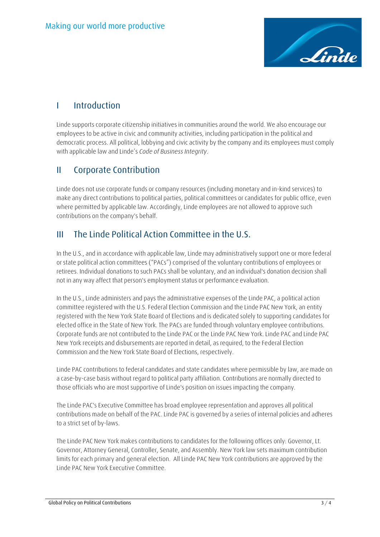

#### <span id="page-2-0"></span>**I Introduction**

Linde supports corporate citizenship initiatives in communities around the world. We also encourage our employees to be active in civic and community activities, including participation in the political and democratic process. All political, lobbying and civic activity by the company and its employees must comply with applicable law and Linde's *Code of Business Integrity*.

#### <span id="page-2-1"></span>**II Corporate Contribution**

Linde does not use corporate funds or company resources (including monetary and in-kind services) to make any direct contributions to political parties, political committees or candidates for public office, even where permitted by applicable law. Accordingly, Linde employees are not allowed to approve such contributions on the company's behalf.

#### <span id="page-2-2"></span>**III The Linde Political Action Committee in the U.S.**

In the U.S., and in accordance with applicable law, Linde may administratively support one or more federal or state political action committees ("PACs") comprised of the voluntary contributions of employees or retirees. Individual donations to such PACs shall be voluntary, and an individual's donation decision shall not in any way affect that person's employment status or performance evaluation.

In the U.S., Linde administers and pays the administrative expenses of the Linde PAC, a political action committee registered with the U.S. Federal Election Commission and the Linde PAC New York, an entity registered with the New York State Board of Elections and is dedicated solely to supporting candidates for elected office in the State of New York. The PACs are funded through voluntary employee contributions. Corporate funds are not contributed to the Linde PAC or the Linde PAC New York. Linde PAC and Linde PAC New York receipts and disbursements are reported in detail, as required, to the Federal Election Commission and the New York State Board of Elections, respectively.

Linde PAC contributions to federal candidates and state candidates where permissible by law, are made on a case-by-case basis without regard to political party affiliation. Contributions are normally directed to those officials who are most supportive of Linde's position on issues impacting the company.

The Linde PAC's Executive Committee has broad employee representation and approves all political contributions made on behalf of the PAC. Linde PAC is governed by a series of internal policies and adheres to a strict set of by-laws.

The Linde PAC New York makes contributions to candidates for the following offices only: Governor, Lt. Governor, Attorney General, Controller, Senate, and Assembly. New York law sets maximum contribution limits for each primary and general election. All Linde PAC New York contributions are approved by the Linde PAC New York Executive Committee.